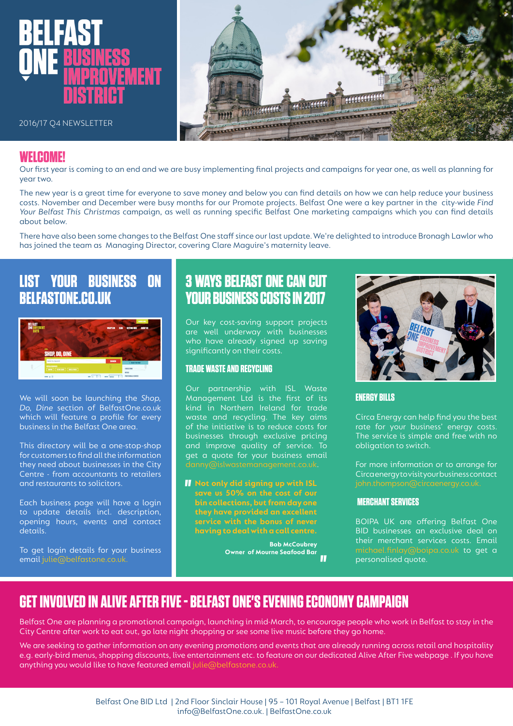



2016/17 Q4 NEWSLETTER

**WELCOME!**

Our first year is coming to an end and we are busy implementing final projects and campaigns for year one, as well as planning for year two.

The new year is a great time for everyone to save money and below you can find details on how we can help reduce your business costs. November and December were busy months for our Promote projects. Belfast One were a key partner in the city-wide *Find Your Belfast This Christmas* campaign, as well as running specific Belfast One marketing campaigns which you can find details about below.

There have also been some changes to the Belfast One staff since our last update. We're delighted to introduce Bronagh Lawlor who has joined the team as Managing Director, covering Clare Maguire's maternity leave.

# **LIST YOUR BUSINESS ON BELFASTONE.CO.UK**



We will soon be launching the *Shop, Do, Dine* section of BelfastOne.co.uk which will feature a profile for every business in the Belfast One area.

This directory will be a one-stop-shop for customers to find all the information they need about businesses in the City Centre - from accountants to retailers and restaurants to solicitors.

Each business page will have a login to update details incl. description, opening hours, events and contact details.

To get login details for your business email julie@belfastone.co.uk.

# **3 WAYS BELFAST ONE CAN CUT YOUR BUSINESS COSTS IN 2017**

Our key cost-saving support projects are well underway with businesses who have already signed up saving significantly on their costs.

#### **TRADE WASTE AND RECYCLING**

Our partnership with ISL Waste Management Ltd is the first of its kind in Northern Ireland for trade waste and recycling. The key aims of the initiative is to reduce costs for businesses through exclusive pricing and improve quality of service. To get a quote for your business email

**Not only did signing up with ISL save us 50% on the cost of our save us 50% on the cost of our bin collections, but from day one they have provided an excellent having to deal with a call centre.**

> **Bob McCoubrey Owner of Mourne Seafood Bar "**



#### **ENERGY BILLS**

Circa Energy can help find you the best rate for your business' energy costs. The service is simple and free with no obligation to switch.

For more information or to arrange for Circa energy to visit your business contact

#### **MERCHANT SERVICES**

BOIPA UK are offering Belfast One BID businesses an exclusive deal on their merchant services costs. Email michael.finlay@boipa.co.uk to get a personalised quote.

### **GET INVOLVED IN ALIVE AFTER FIVE - BELFAST ONE'S EVENING ECONOMY CAMPAIGN**

Belfast One are planning a promotional campaign, launching in mid-March, to encourage people who work in Belfast to stay in the City Centre after work to eat out, go late night shopping or see some live music before they go home.

We are seeking to gather information on any evening promotions and events that are already running across retail and hospitality e.g. early-bird menus, shopping discounts, live entertainment etc. to feature on our dedicated Alive After Five webpage . If you have anything you would like to have featured email julie@belfastone.co.uk.